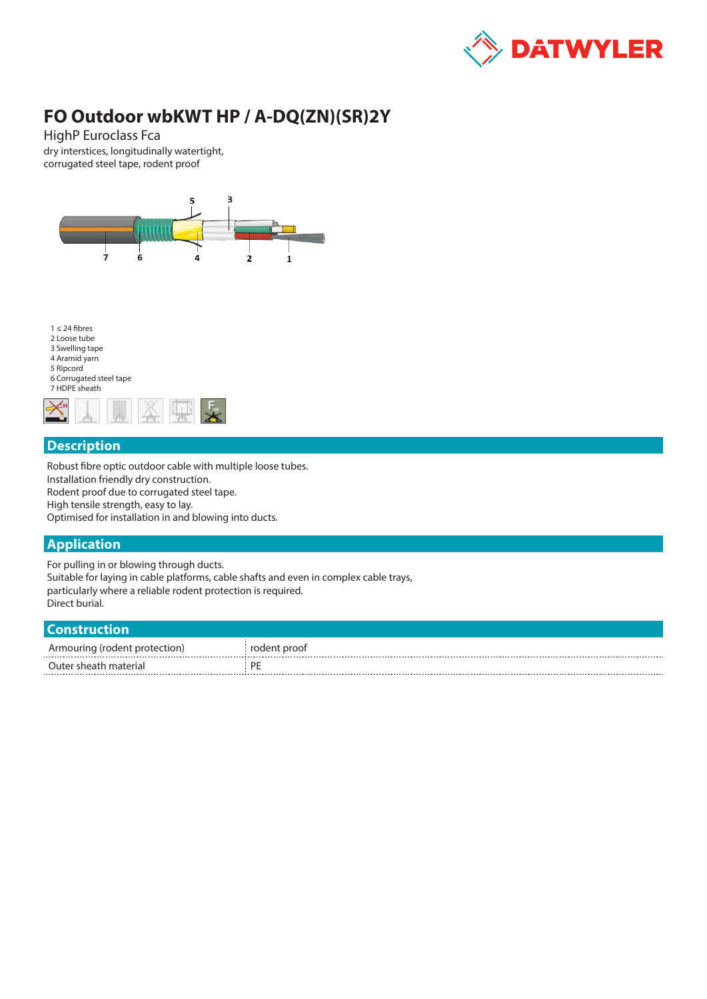

# **FO Outdoor wbKWT HP / A-DQ(ZN)(SR)2Y**

HighP Euroclass Fca dry interstices, longitudinally watertight, corrugated steel tape, rodent proof



### **Description**

Robust fibre optic outdoor cable with multiple loose tubes. Installation friendly dry construction. Rodent proof due to corrugated steel tape. High tensile strength, easy to lay. Optimised for installation in and blowing into ducts.

### **Application**

For pulling in or blowing through ducts. Suitable for laying in cable platforms, cable shafts and even in complex cable trays, particularly where a reliable rodent protection is required. Direct burial.

#### **Construction**

| .                             |              |
|-------------------------------|--------------|
| Armouring (rodent protection) | rodent proof |
| Outer sheath material         | DD           |